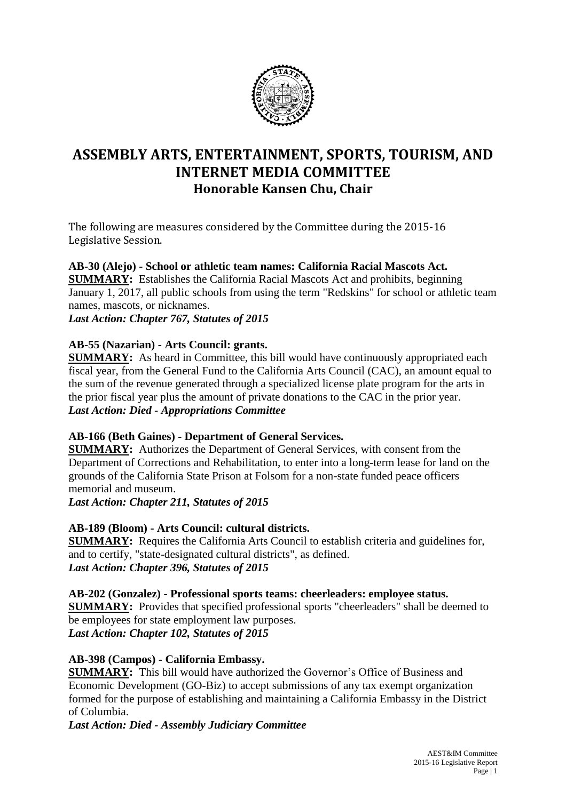

# **ASSEMBLY ARTS, ENTERTAINMENT, SPORTS, TOURISM, AND INTERNET MEDIA COMMITTEE Honorable Kansen Chu, Chair**

The following are measures considered by the Committee during the 2015-16 Legislative Session.

**AB-30 (Alejo) - School or athletic team names: California Racial Mascots Act. SUMMARY:** Establishes the California Racial Mascots Act and prohibits, beginning January 1, 2017, all public schools from using the term "Redskins" for school or athletic team names, mascots, or nicknames.

*Last Action: Chapter 767, Statutes of 2015*

# **AB-55 (Nazarian) - Arts Council: grants.**

**SUMMARY:** As heard in Committee, this bill would have continuously appropriated each fiscal year, from the General Fund to the California Arts Council (CAC), an amount equal to the sum of the revenue generated through a specialized license plate program for the arts in the prior fiscal year plus the amount of private donations to the CAC in the prior year. *Last Action: Died - Appropriations Committee*

# **AB-166 (Beth Gaines) - Department of General Services.**

**SUMMARY:** Authorizes the Department of General Services, with consent from the Department of Corrections and Rehabilitation, to enter into a long-term lease for land on the grounds of the California State Prison at Folsom for a non-state funded peace officers memorial and museum.

*Last Action: Chapter 211, Statutes of 2015*

# **AB-189 (Bloom) - Arts Council: cultural districts.**

**SUMMARY:** Requires the California Arts Council to establish criteria and guidelines for, and to certify, "state-designated cultural districts", as defined. *Last Action: Chapter 396, Statutes of 2015*

**AB-202 (Gonzalez) - Professional sports teams: cheerleaders: employee status.**

**SUMMARY:** Provides that specified professional sports "cheerleaders" shall be deemed to be employees for state employment law purposes. *Last Action: Chapter 102, Statutes of 2015*

# **AB-398 (Campos) - California Embassy.**

**SUMMARY:** This bill would have authorized the Governor's Office of Business and Economic Development (GO-Biz) to accept submissions of any tax exempt organization formed for the purpose of establishing and maintaining a California Embassy in the District of Columbia.

*Last Action: Died - Assembly Judiciary Committee*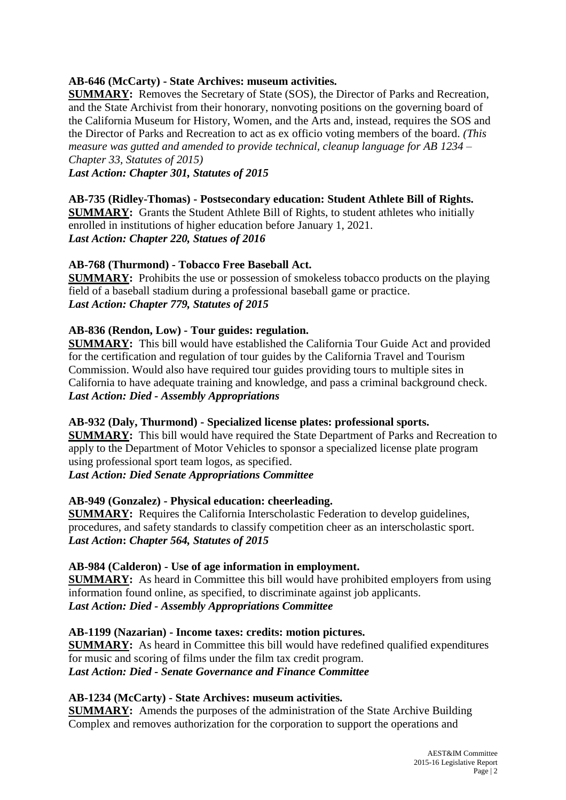# **AB-646 (McCarty) - State Archives: museum activities.**

**SUMMARY:** Removes the Secretary of State (SOS), the Director of Parks and Recreation, and the State Archivist from their honorary, nonvoting positions on the governing board of the California Museum for History, Women, and the Arts and, instead, requires the SOS and the Director of Parks and Recreation to act as ex officio voting members of the board. *(This measure was gutted and amended to provide technical, cleanup language for AB 1234 – Chapter 33, Statutes of 2015)*

*Last Action: Chapter 301, Statutes of 2015*

#### **AB-735 (Ridley-Thomas) - Postsecondary education: Student Athlete Bill of Rights. SUMMARY:** Grants the Student Athlete Bill of Rights, to student athletes who initially enrolled in institutions of higher education before January 1, 2021.

*Last Action: Chapter 220, Statues of 2016*

# **AB-768 (Thurmond) - Tobacco Free Baseball Act.**

**SUMMARY:** Prohibits the use or possession of smokeless tobacco products on the playing field of a baseball stadium during a professional baseball game or practice. *Last Action: Chapter 779, Statutes of 2015*

# **AB-836 (Rendon, Low) - Tour guides: regulation.**

**SUMMARY:** This bill would have established the California Tour Guide Act and provided for the certification and regulation of tour guides by the California Travel and Tourism Commission. Would also have required tour guides providing tours to multiple sites in California to have adequate training and knowledge, and pass a criminal background check. *Last Action: Died - Assembly Appropriations*

# **AB-932 (Daly, Thurmond) - Specialized license plates: professional sports.**

**SUMMARY:** This bill would have required the State Department of Parks and Recreation to apply to the Department of Motor Vehicles to sponsor a specialized license plate program using professional sport team logos, as specified.

*Last Action: Died Senate Appropriations Committee*

# **AB-949 (Gonzalez) - Physical education: cheerleading.**

**SUMMARY:** Requires the California Interscholastic Federation to develop guidelines, procedures, and safety standards to classify competition cheer as an interscholastic sport. *Last Action***:** *Chapter 564, Statutes of 2015*

# **AB-984 (Calderon) - Use of age information in employment.**

**SUMMARY:** As heard in Committee this bill would have prohibited employers from using information found online, as specified, to discriminate against job applicants. *Last Action: Died - Assembly Appropriations Committee*

# **AB-1199 (Nazarian) - Income taxes: credits: motion pictures.**

**SUMMARY:** As heard in Committee this bill would have redefined qualified expenditures for music and scoring of films under the film tax credit program. *Last Action: Died - Senate Governance and Finance Committee*

# **AB-1234 (McCarty) - State Archives: museum activities.**

**SUMMARY:** Amends the purposes of the administration of the State Archive Building Complex and removes authorization for the corporation to support the operations and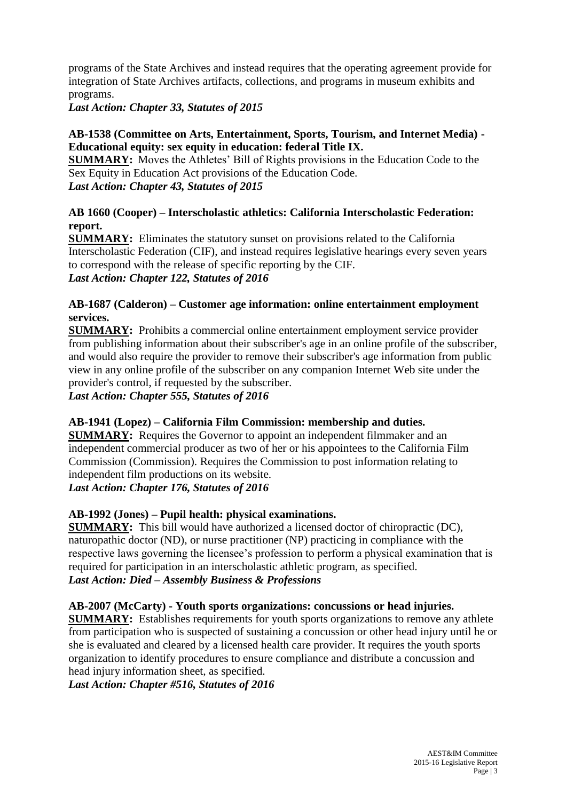programs of the State Archives and instead requires that the operating agreement provide for integration of State Archives artifacts, collections, and programs in museum exhibits and programs.

*Last Action: Chapter 33, Statutes of 2015*

### **AB-1538 (Committee on Arts, Entertainment, Sports, Tourism, and Internet Media) - Educational equity: sex equity in education: federal Title IX.**

**SUMMARY:** Moves the Athletes' Bill of Rights provisions in the Education Code to the Sex Equity in Education Act provisions of the Education Code. *Last Action: Chapter 43, Statutes of 2015*

### **AB 1660 (Cooper) – Interscholastic athletics: California Interscholastic Federation: report.**

**SUMMARY:** Eliminates the statutory sunset on provisions related to the California Interscholastic Federation (CIF), and instead requires legislative hearings every seven years to correspond with the release of specific reporting by the CIF. *Last Action: Chapter 122, Statutes of 2016*

# **AB-1687 (Calderon) – Customer age information: online entertainment employment services.**

**SUMMARY:** Prohibits a commercial online entertainment employment service provider from publishing information about their subscriber's age in an online profile of the subscriber, and would also require the provider to remove their subscriber's age information from public view in any online profile of the subscriber on any companion Internet Web site under the provider's control, if requested by the subscriber.

*Last Action: Chapter 555, Statutes of 2016*

# **AB-1941 (Lopez) – California Film Commission: membership and duties.**

**SUMMARY:** Requires the Governor to appoint an independent filmmaker and an independent commercial producer as two of her or his appointees to the California Film Commission (Commission). Requires the Commission to post information relating to independent film productions on its website.

*Last Action: Chapter 176, Statutes of 2016*

# **AB-1992 (Jones) – Pupil health: physical examinations.**

**SUMMARY:** This bill would have authorized a licensed doctor of chiropractic (DC), naturopathic doctor (ND), or nurse practitioner (NP) practicing in compliance with the respective laws governing the licensee's profession to perform a physical examination that is required for participation in an interscholastic athletic program, as specified. *Last Action: Died – Assembly Business & Professions*

#### **AB-2007 (McCarty) - Youth sports organizations: concussions or head injuries.**

**SUMMARY:** Establishes requirements for youth sports organizations to remove any athlete from participation who is suspected of sustaining a concussion or other head injury until he or she is evaluated and cleared by a licensed health care provider. It requires the youth sports organization to identify procedures to ensure compliance and distribute a concussion and head injury information sheet, as specified.

*Last Action: Chapter #516, Statutes of 2016*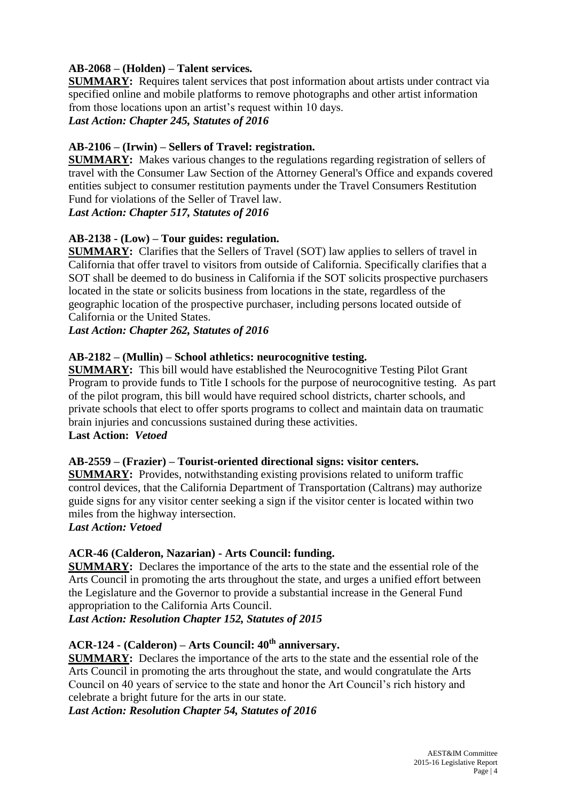# **AB-2068 – (Holden) – Talent services.**

**SUMMARY:** Requires talent services that post information about artists under contract via specified online and mobile platforms to remove photographs and other artist information from those locations upon an artist's request within 10 days. *Last Action: Chapter 245, Statutes of 2016*

# **AB-2106 – (Irwin) – Sellers of Travel: registration.**

**SUMMARY:** Makes various changes to the regulations regarding registration of sellers of travel with the Consumer Law Section of the Attorney General's Office and expands covered entities subject to consumer restitution payments under the Travel Consumers Restitution Fund for violations of the Seller of Travel law.

#### *Last Action: Chapter 517, Statutes of 2016*

# **AB-2138 - (Low) – Tour guides: regulation.**

**SUMMARY:** Clarifies that the Sellers of Travel (SOT) law applies to sellers of travel in California that offer travel to visitors from outside of California. Specifically clarifies that a SOT shall be deemed to do business in California if the SOT solicits prospective purchasers located in the state or solicits business from locations in the state, regardless of the geographic location of the prospective purchaser, including persons located outside of California or the United States.

*Last Action: Chapter 262, Statutes of 2016*

#### **AB-2182 – (Mullin) – School athletics: neurocognitive testing.**

**SUMMARY:** This bill would have established the Neurocognitive Testing Pilot Grant Program to provide funds to Title I schools for the purpose of neurocognitive testing. As part of the pilot program, this bill would have required school districts, charter schools, and private schools that elect to offer sports programs to collect and maintain data on traumatic brain injuries and concussions sustained during these activities. **Last Action:** *Vetoed*

#### **AB-2559 – (Frazier) – Tourist-oriented directional signs: visitor centers.**

**SUMMARY:** Provides, notwithstanding existing provisions related to uniform traffic control devices, that the California Department of Transportation (Caltrans) may authorize guide signs for any visitor center seeking a sign if the visitor center is located within two miles from the highway intersection.

#### *Last Action: Vetoed*

# **ACR-46 (Calderon, Nazarian) - Arts Council: funding.**

**SUMMARY:** Declares the importance of the arts to the state and the essential role of the Arts Council in promoting the arts throughout the state, and urges a unified effort between the Legislature and the Governor to provide a substantial increase in the General Fund appropriation to the California Arts Council.

*Last Action: Resolution Chapter 152, Statutes of 2015*

# **ACR-124 - (Calderon) – Arts Council: 40th anniversary.**

**SUMMARY:** Declares the importance of the arts to the state and the essential role of the Arts Council in promoting the arts throughout the state, and would congratulate the Arts Council on 40 years of service to the state and honor the Art Council's rich history and celebrate a bright future for the arts in our state.

*Last Action: Resolution Chapter 54, Statutes of 2016*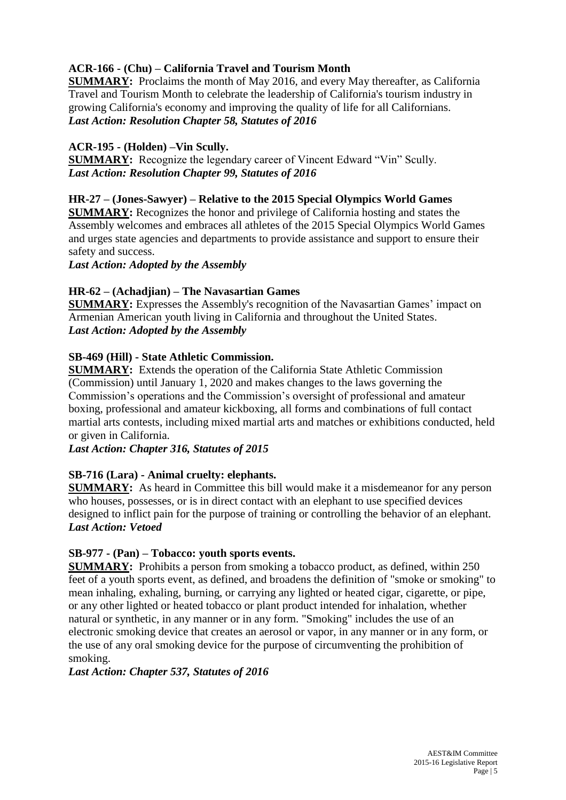# **ACR-166 - (Chu) – California Travel and Tourism Month**

**SUMMARY:** Proclaims the month of May 2016, and every May thereafter, as California Travel and Tourism Month to celebrate the leadership of California's tourism industry in growing California's economy and improving the quality of life for all Californians. *Last Action: Resolution Chapter 58, Statutes of 2016*

### **ACR-195 - (Holden) –Vin Scully.**

**SUMMARY:** Recognize the legendary career of Vincent Edward "Vin" Scully. *Last Action: Resolution Chapter 99, Statutes of 2016*

#### **HR-27 – (Jones-Sawyer) – Relative to the 2015 Special Olympics World Games**

**SUMMARY:** Recognizes the honor and privilege of California hosting and states the Assembly welcomes and embraces all athletes of the 2015 Special Olympics World Games and urges state agencies and departments to provide assistance and support to ensure their safety and success.

*Last Action: Adopted by the Assembly*

# **HR-62 – (Achadjian) – The Navasartian Games**

**SUMMARY:** Expresses the Assembly's recognition of the Navasartian Games' impact on Armenian American youth living in California and throughout the United States. *Last Action: Adopted by the Assembly*

#### **SB-469 (Hill) - State Athletic Commission.**

**SUMMARY:** Extends the operation of the California State Athletic Commission (Commission) until January 1, 2020 and makes changes to the laws governing the Commission's operations and the Commission's oversight of professional and amateur boxing, professional and amateur kickboxing, all forms and combinations of full contact martial arts contests, including mixed martial arts and matches or exhibitions conducted, held or given in California.

*Last Action: Chapter 316, Statutes of 2015*

# **SB-716 (Lara) - Animal cruelty: elephants.**

**SUMMARY:** As heard in Committee this bill would make it a misdemeanor for any person who houses, possesses, or is in direct contact with an elephant to use specified devices designed to inflict pain for the purpose of training or controlling the behavior of an elephant. *Last Action: Vetoed*

#### **SB-977 - (Pan) – Tobacco: youth sports events.**

**SUMMARY:** Prohibits a person from smoking a tobacco product, as defined, within 250 feet of a youth sports event, as defined, and broadens the definition of "smoke or smoking" to mean inhaling, exhaling, burning, or carrying any lighted or heated cigar, cigarette, or pipe, or any other lighted or heated tobacco or plant product intended for inhalation, whether natural or synthetic, in any manner or in any form. "Smoking" includes the use of an electronic smoking device that creates an aerosol or vapor, in any manner or in any form, or the use of any oral smoking device for the purpose of circumventing the prohibition of smoking.

#### *Last Action: Chapter 537, Statutes of 2016*